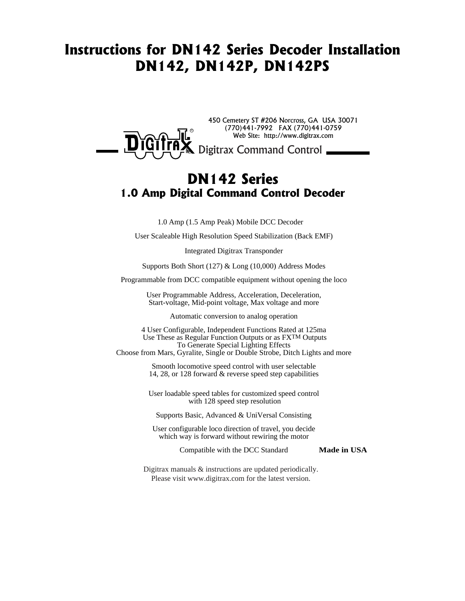# Instructions for DN142 Series Decoder Installation DN142, DN142P, DN142PS



# DN142 Series 1.0 Amp Digital Command Control Decoder

1.0 Amp (1.5 Amp Peak) Mobile DCC Decoder

User Scaleable High Resolution Speed Stabilization (Back EMF)

Integrated Digitrax Transponder

Supports Both Short (127) & Long (10,000) Address Modes

Programmable from DCC compatible equipment without opening the loco

User Programmable Address, Acceleration, Deceleration, Start-voltage, Mid-point voltage, Max voltage and more

Automatic conversion to analog operation

4 User Configurable, Independent Functions Rated at 125ma Use These as Regular Function Outputs or as FXTM Outputs To Generate Special Lighting Effects

Choose from Mars, Gyralite, Single or Double Strobe, Ditch Lights and more

Smooth locomotive speed control with user selectable 14, 28, or 128 forward & reverse speed step capabilities

User loadable speed tables for customized speed control with 128 speed step resolution

Supports Basic, Advanced & UniVersal Consisting

User configurable loco direction of travel, you decide which way is forward without rewiring the motor

Compatible with the DCC Standard

**Made in USA**

Digitrax manuals & instructions are updated periodically. Please visit www.digitrax.com for the latest version.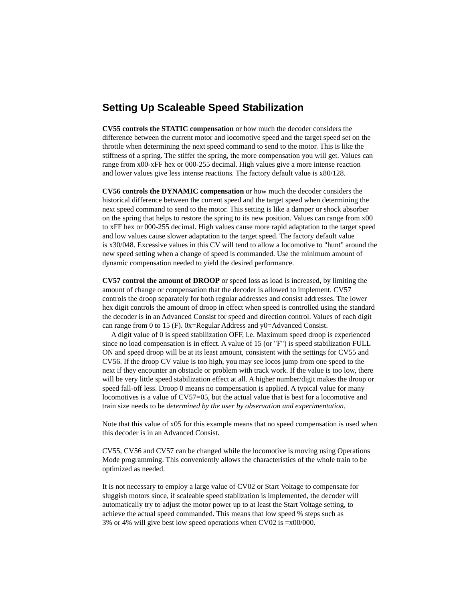## **Setting Up Scaleable Speed Stabilization**

**CV55 controls the STATIC compensation** or how much the decoder considers the difference between the current motor and locomotive speed and the target speed set on the throttle when determining the next speed command to send to the motor. This is like the stiffness of a spring. The stiffer the spring, the more compensation you will get. Values can range from x00-xFF hex or 000-255 decimal. High values give a more intense reaction and lower values give less intense reactions. The factory default value is x80/128.

**CV56 controls the DYNAMIC compensation** or how much the decoder considers the historical difference between the current speed and the target speed when determining the next speed command to send to the motor. This setting is like a damper or shock absorber on the spring that helps to restore the spring to its new position. Values can range from x00 to xFF hex or 000-255 decimal. High values cause more rapid adaptation to the target speed and low values cause slower adaptation to the target speed. The factory default value is x30/048. Excessive values in this CV will tend to allow a locomotive to "hunt" around the new speed setting when a change of speed is commanded. Use the minimum amount of dynamic compensation needed to yield the desired performance.

**CV57 control the amount of DROOP** or speed loss as load is increased, by limiting the amount of change or compensation that the decoder is allowed to implement. CV57 controls the droop separately for both regular addresses and consist addresses. The lower hex digit controls the amount of droop in effect when speed is controlled using the standard the decoder is in an Advanced Consist for speed and direction control. Values of each digit can range from 0 to 15 (F). 0x=Regular Address and y0=Advanced Consist.

 A digit value of 0 is speed stabilization OFF, i.e. Maximum speed droop is experienced since no load compensation is in effect. A value of 15 (or "F") is speed stabilization FULL ON and speed droop will be at its least amount, consistent with the settings for CV55 and CV56. If the droop CV value is too high, you may see locos jump from one speed to the next if they encounter an obstacle or problem with track work. If the value is too low, there will be very little speed stabilization effect at all. A higher number/digit makes the droop or speed fall-off less. Droop 0 means no compensation is applied. A typical value for many locomotives is a value of CV57=05, but the actual value that is best for a locomotive and train size needs to be *determined by the user by observation and experimentation*.

Note that this value of x05 for this example means that no speed compensation is used when this decoder is in an Advanced Consist.

CV55, CV56 and CV57 can be changed while the locomotive is moving using Operations Mode programming. This conveniently allows the characteristics of the whole train to be optimized as needed.

It is not necessary to employ a large value of CV02 or Start Voltage to compensate for sluggish motors since, if scaleable speed stabilzation is implemented, the decoder will automatically try to adjust the motor power up to at least the Start Voltage setting, to achieve the actual speed commanded. This means that low speed % steps such as 3% or 4% will give best low speed operations when CV02 is =x00/000.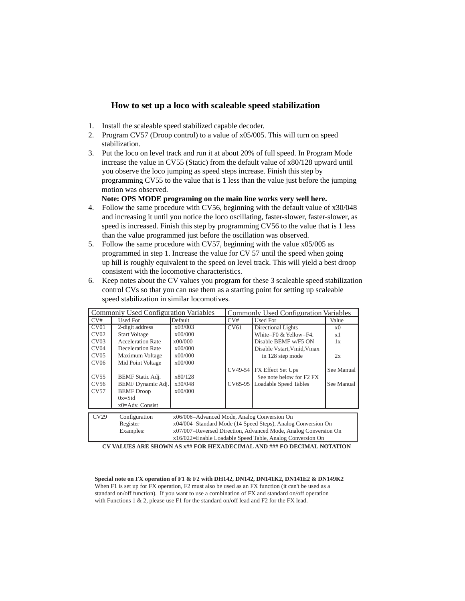### **How to set up a loco with scaleable speed stabilization**

- 1. Install the scaleable speed stabilized capable decoder.
- 2. Program CV57 (Droop control) to a value of x05/005. This will turn on speed stabilization.
- 3. Put the loco on level track and run it at about 20% of full speed. In Program Mode increase the value in CV55 (Static) from the default value of x80/128 upward until you observe the loco jumping as speed steps increase. Finish this step by programming CV55 to the value that is 1 less than the value just before the jumping motion was observed.

**Note: OPS MODE programing on the main line works very well here.**

- 4. Follow the same procedure with CV56, beginning with the default value of x30/048 and increasing it until you notice the loco oscillating, faster-slower, faster-slower, as speed is increased. Finish this step by programming CV56 to the value that is 1 less than the value programmed just before the oscillation was observed.
- 5. Follow the same procedure with CV57, beginning with the value x05/005 as programmed in step 1. Increase the value for CV 57 until the speed when going up hill is roughly equivalent to the speed on level track. This will yield a best droop consistent with the locomotive characteristics.
- 6. Keep notes about the CV values you program for these 3 scaleable speed stabilization control CVs so that you can use them as a starting point for setting up scaleable speed stabilization in similar locomotives.

| <b>Commonly Used Configuration Variables</b> |                          |                                                                 | <b>Commonly Used Configuration Variables</b> |                              |            |
|----------------------------------------------|--------------------------|-----------------------------------------------------------------|----------------------------------------------|------------------------------|------------|
| CV#                                          | Used For                 | Default                                                         | CV#                                          | Used For                     | Value      |
| CV01                                         | 2-digit address          | x03/003                                                         | CV61                                         | Directional Lights           | x0         |
| CV <sub>02</sub>                             | <b>Start Voltage</b>     | x00/000                                                         |                                              | White=F0 & Yellow=F4.        | x1         |
| CV <sub>03</sub>                             | <b>Acceleration Rate</b> | x00/000                                                         |                                              | Disable BEMF w/F5 ON         | 1x         |
| CV <sub>04</sub>                             | Deceleration Rate        | x00/000                                                         |                                              | Disable Vstart. Vmid. Vmax   |            |
| CV05                                         | Maximum Voltage          | x00/000                                                         |                                              | in 128 step mode             | 2x         |
| CV06                                         | Mid Point Voltage        | x00/000                                                         |                                              |                              |            |
|                                              |                          |                                                                 | CV49-54                                      | FX Effect Set Ups            | See Manual |
| CV55                                         | <b>BEMF</b> Static Adj.  | x80/128                                                         |                                              | See note below for F2 FX     |            |
| CV56                                         | <b>BEMF</b> Dynamic Adj. | x30/048                                                         | CV65-95                                      | <b>Loadable Speed Tables</b> | See Manual |
| CV57                                         | <b>BEMF</b> Droop        | x00/000                                                         |                                              |                              |            |
|                                              | $0x = Std$               |                                                                 |                                              |                              |            |
|                                              | $x0 = Adv.$ Consist      |                                                                 |                                              |                              |            |
|                                              |                          |                                                                 |                                              |                              |            |
| CV29                                         | Configuration            | x06/006=Advanced Mode, Analog Conversion On                     |                                              |                              |            |
|                                              | Register                 | x04/004=Standard Mode (14 Speed Steps), Analog Conversion On    |                                              |                              |            |
|                                              | Examples:                | x07/007=Reversed Direction, Advanced Mode, Analog Conversion On |                                              |                              |            |
|                                              |                          | x16/022=Enable Loadable Speed Table, Analog Conversion On       |                                              |                              |            |

**CV VALUES ARE SHOWN AS x## FOR HEXADECIMAL AND ### FO DECIMAL NOTATION**

**Special note on FX operation of F1 & F2 with DH142, DN142, DN141K2, DN141E2 & DN149K2** When F1 is set up for FX operation, F2 must also be used as an FX function (it can't be used as a standard on/off function). If you want to use a combination of FX and standard on/off operation with Functions 1 & 2, please use F1 for the standard on/off lead and F2 for the FX lead.